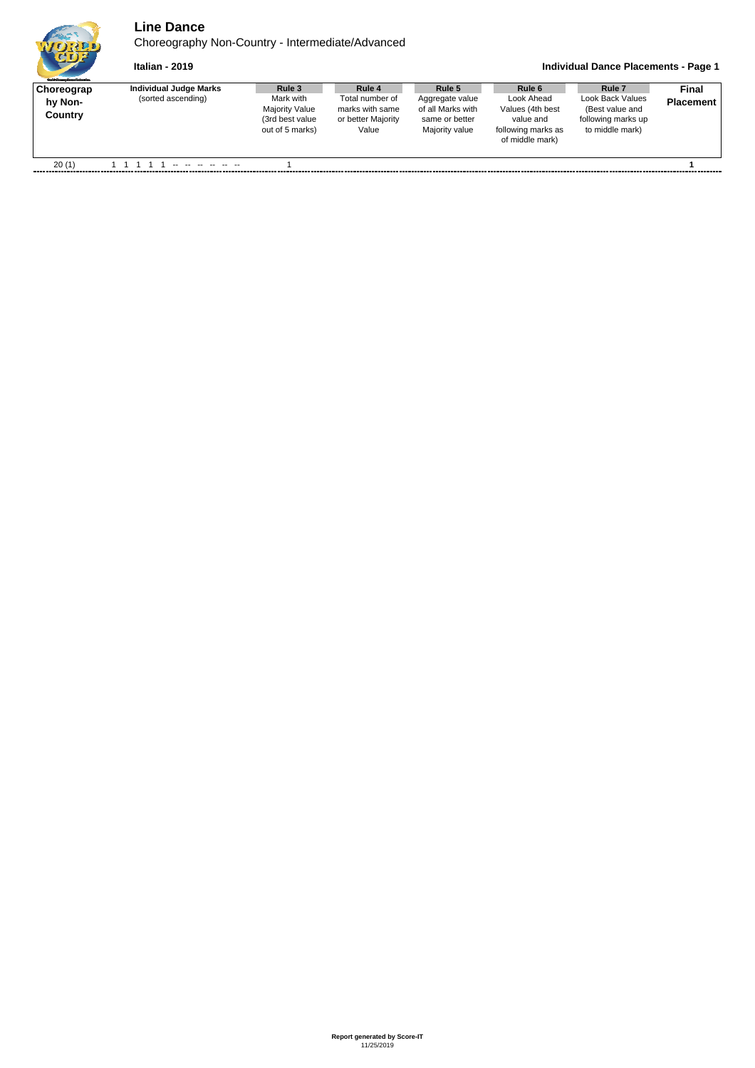

 $\mathbf{r}$ 

## **Line Dance**

Choreography Non-Country - Intermediate/Advanced

**Italian - 2019 Individual Dance Placements - Page 1**

| <b>Guild Gauge Dave Polynting</b> |                                              |                                                                  |                                                                    |                                                                  |                                                       |                                                                     |                           |
|-----------------------------------|----------------------------------------------|------------------------------------------------------------------|--------------------------------------------------------------------|------------------------------------------------------------------|-------------------------------------------------------|---------------------------------------------------------------------|---------------------------|
| Choreograp<br>hv Non-<br>Country  | Individual Judge Marks<br>(sorted ascending) | Rule 3<br>Mark with<br><b>Majority Value</b><br>(3rd best value) | Rule 4<br>Total number of<br>marks with same<br>or better Majority | Rule 5<br>Aggregate value<br>of all Marks with<br>same or better | Rule 6<br>Look Ahead<br>Values (4th best<br>value and | Rule 7<br>Look Back Values<br>(Best value and<br>following marks up | Final<br><b>Placement</b> |
|                                   |                                              | out of 5 marks)                                                  | Value                                                              | Majority value                                                   | following marks as<br>of middle mark)                 | to middle mark)                                                     |                           |
| 20(1)                             |                                              |                                                                  |                                                                    |                                                                  |                                                       |                                                                     |                           |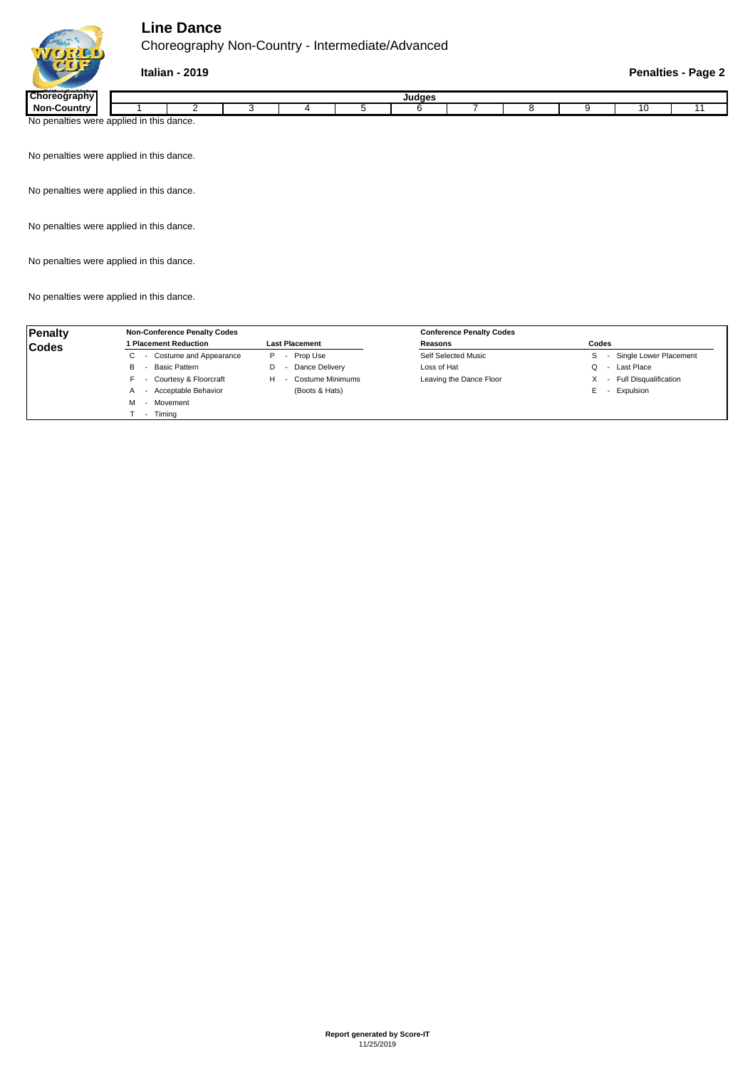## **Line Dance**

Choreography Non-Country - Intermediate/Advanced



| <b>ICKS</b>                  | <br>Judges             |        |  |  |  |  |  |  |  |  |
|------------------------------|------------------------|--------|--|--|--|--|--|--|--|--|
| Non.<br>Countr:              |                        |        |  |  |  |  |  |  |  |  |
| were<br>n<br>NO.<br>nalties∩ | .<br>applied in this a | dance. |  |  |  |  |  |  |  |  |

No penalties were applied in this dance.

No penalties were applied in this dance.

No penalties were applied in this dance.

No penalties were applied in this dance.

No penalties were applied in this dance.

| Penalty      | <b>Non-Conference Penalty Codes</b>  |                                           | <b>Conference Penalty Codes</b> |                                                          |  |  |
|--------------|--------------------------------------|-------------------------------------------|---------------------------------|----------------------------------------------------------|--|--|
| <b>Codes</b> | <b>Placement Reduction</b>           | <b>Last Placement</b>                     | Reasons                         | Codes                                                    |  |  |
|              | - Costume and Appearance             | Prop Use<br>P<br>$\overline{\phantom{a}}$ | Self Selected Music             | Single Lower Placement                                   |  |  |
|              | - Basic Pattern<br>B                 | Dance Delivery<br>D                       | Loss of Hat                     | - Last Place                                             |  |  |
|              | - Courtesy & Floorcraft<br>н.        | Costume Minimums<br>н                     | Leaving the Dance Floor         | <b>Full Disqualification</b><br>$\overline{\phantom{a}}$ |  |  |
|              | - Acceptable Behavior                | (Boots & Hats)                            |                                 | - Expulsion<br>Е                                         |  |  |
|              | Movement<br>$\overline{\phantom{0}}$ |                                           |                                 |                                                          |  |  |
|              | Timina<br>$\sim$                     |                                           |                                 |                                                          |  |  |